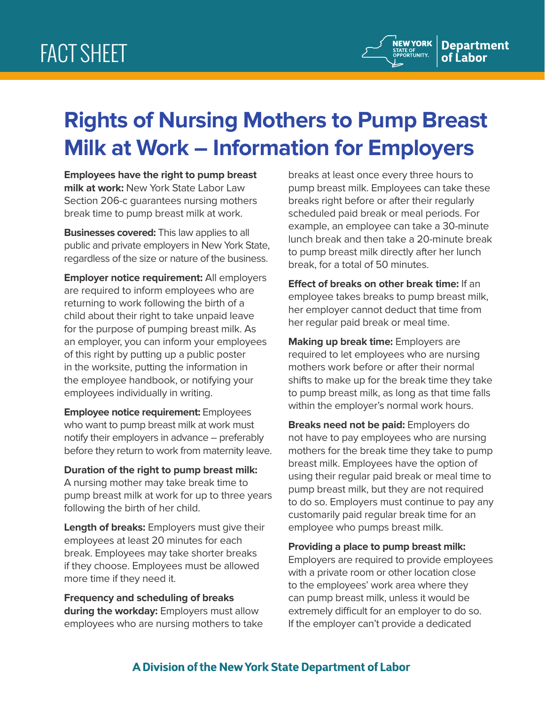## **Rights of Nursing Mothers to Pump Breast Milk at Work – Information for Employers**

**Employees have the right to pump breast milk at work:** New York State Labor Law Section 206-c guarantees nursing mothers break time to pump breast milk at work.

**Businesses covered:** This law applies to all public and private employers in New York State, regardless of the size or nature of the business.

**Employer notice requirement:** All employers are required to inform employees who are returning to work following the birth of a child about their right to take unpaid leave for the purpose of pumping breast milk. As an employer, you can inform your employees of this right by putting up a public poster in the worksite, putting the information in the employee handbook, or notifying your employees individually in writing.

**Employee notice requirement:** Employees who want to pump breast milk at work must notify their employers in advance – preferably before they return to work from maternity leave.

**Duration of the right to pump breast milk:** A nursing mother may take break time to pump breast milk at work for up to three years following the birth of her child.

**Length of breaks:** Employers must give their employees at least 20 minutes for each break. Employees may take shorter breaks if they choose. Employees must be allowed more time if they need it.

**Frequency and scheduling of breaks during the workday:** Employers must allow employees who are nursing mothers to take breaks at least once every three hours to pump breast milk. Employees can take these breaks right before or after their regularly scheduled paid break or meal periods. For example, an employee can take a 30-minute lunch break and then take a 20-minute break to pump breast milk directly after her lunch break, for a total of 50 minutes.

**Effect of breaks on other break time:** If an employee takes breaks to pump breast milk, her employer cannot deduct that time from her regular paid break or meal time.

**Making up break time:** Employers are required to let employees who are nursing mothers work before or after their normal shifts to make up for the break time they take to pump breast milk, as long as that time falls within the employer's normal work hours.

**Breaks need not be paid:** Employers do not have to pay employees who are nursing mothers for the break time they take to pump breast milk. Employees have the option of using their regular paid break or meal time to pump breast milk, but they are not required to do so. Employers must continue to pay any customarily paid regular break time for an employee who pumps breast milk.

**Providing a place to pump breast milk:** Employers are required to provide employees with a private room or other location close to the employees' work area where they can pump breast milk, unless it would be extremely difficult for an employer to do so. If the employer can't provide a dedicated